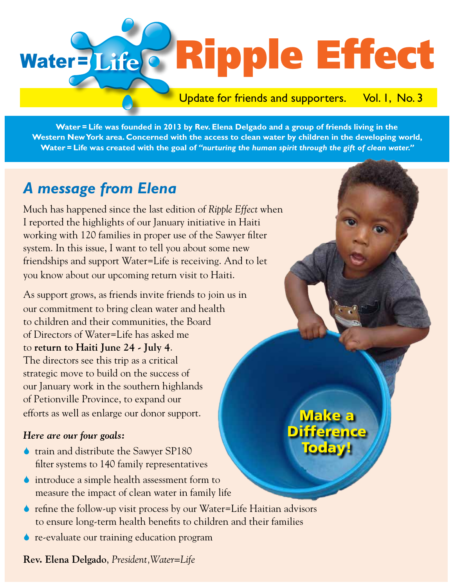# Water=Life@ Ripple Effect

### Update for friends and supporters. Vol. I, No. 3

**Water = Life was founded in 2013 by Rev. Elena Delgado and a group of friends living in the Western New York area. Concerned with the access to clean water by children in the developing world, Water = Life was created with the goal of** *"nurturing the human spirit through the gift of clean water."* 

# *A message from Elena*

Much has happened since the last edition of *Ripple Effect* when I reported the highlights of our January initiative in Haiti working with 120 families in proper use of the Sawyer filter system. In this issue, I want to tell you about some new friendships and support Water=Life is receiving. And to let you know about our upcoming return visit to Haiti.

As support grows, as friends invite friends to join us in our commitment to bring clean water and health to children and their communities, the Board of Directors of Water=Life has asked me to **return to Haiti June 24 - July 4**. The directors see this trip as a critical strategic move to build on the success of our January work in the southern highlands of Petionville Province, to expand our efforts as well as enlarge our donor support.

### *Here are our four goals:*

- $\bullet$  train and distribute the Sawyer SP180 filter systems to 140 family representatives
- $\bullet$  introduce a simple health assessment form to measure the impact of clean water in family life
- $\bullet$  refine the follow-up visit process by our Water=Life Haitian advisors to ensure long-term health benefits to children and their families
- $\bullet$  re-evaluate our training education program

**Rev. Elena Delgado**, *President,Water=Life*

# Make **Difference** Today!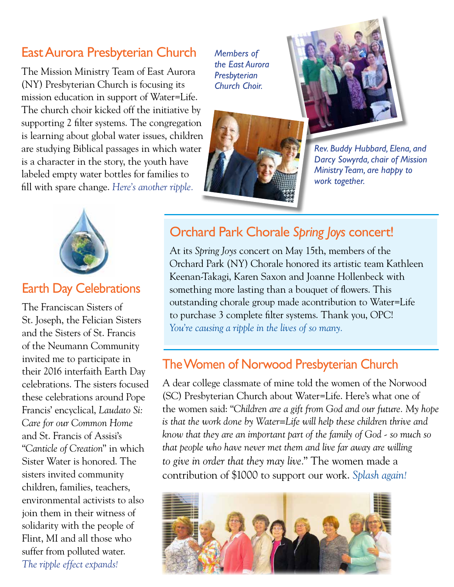## East Aurora Presbyterian Church

The Mission Ministry Team of East Aurora (NY) Presbyterian Church is focusing its mission education in support of Water=Life. The church choir kicked off the initiative by supporting 2 filter systems. The congregation is learning about global water issues, children are studying Biblical passages in which water is a character in the story, the youth have labeled empty water bottles for families to fill with spare change. *Here's another ripple.*

*Members of the East Aurora Presbyterian Church Choir.*





*Rev. Buddy Hubbard, Elena, and Darcy Sowyrda, chair of Mission Ministry Team, are happy to work together.*



### Earth Day Celebrations

The Franciscan Sisters of St. Joseph, the Felician Sisters and the Sisters of St. Francis of the Neumann Community invited me to participate in their 2016 interfaith Earth Day celebrations. The sisters focused these celebrations around Pope Francis' encyclical, *Laudato Si: Care for our Common Home* and St. Francis of Assisi's "*Canticle of Creation*" in which Sister Water is honored. The sisters invited community children, families, teachers, environmental activists to also join them in their witness of solidarity with the people of Flint, MI and all those who suffer from polluted water. *The ripple effect expands!*

# Orchard Park Chorale *Spring Joys* concert!

At its *Spring Joys* concert on May 15th, members of the Orchard Park (NY) Chorale honored its artistic team Kathleen Keenan-Takagi, Karen Saxon and Joanne Hollenbeck with something more lasting than a bouquet of flowers. This outstanding chorale group made acontribution to Water=Life to purchase 3 complete filter systems. Thank you, OPC! *You're causing a ripple in the lives of so many.* 

### The Women of Norwood Presbyterian Church

A dear college classmate of mine told the women of the Norwood (SC) Presbyterian Church about Water=Life. Here's what one of the women said: "*Children are a gift from God and our future. My hope is that the work done by Water=Life will help these children thrive and know that they are an important part of the family of God - so much so that people who have never met them and live far away are willing to give in order that they may live.*" The women made a contribution of \$1000 to support our work. *Splash again!*